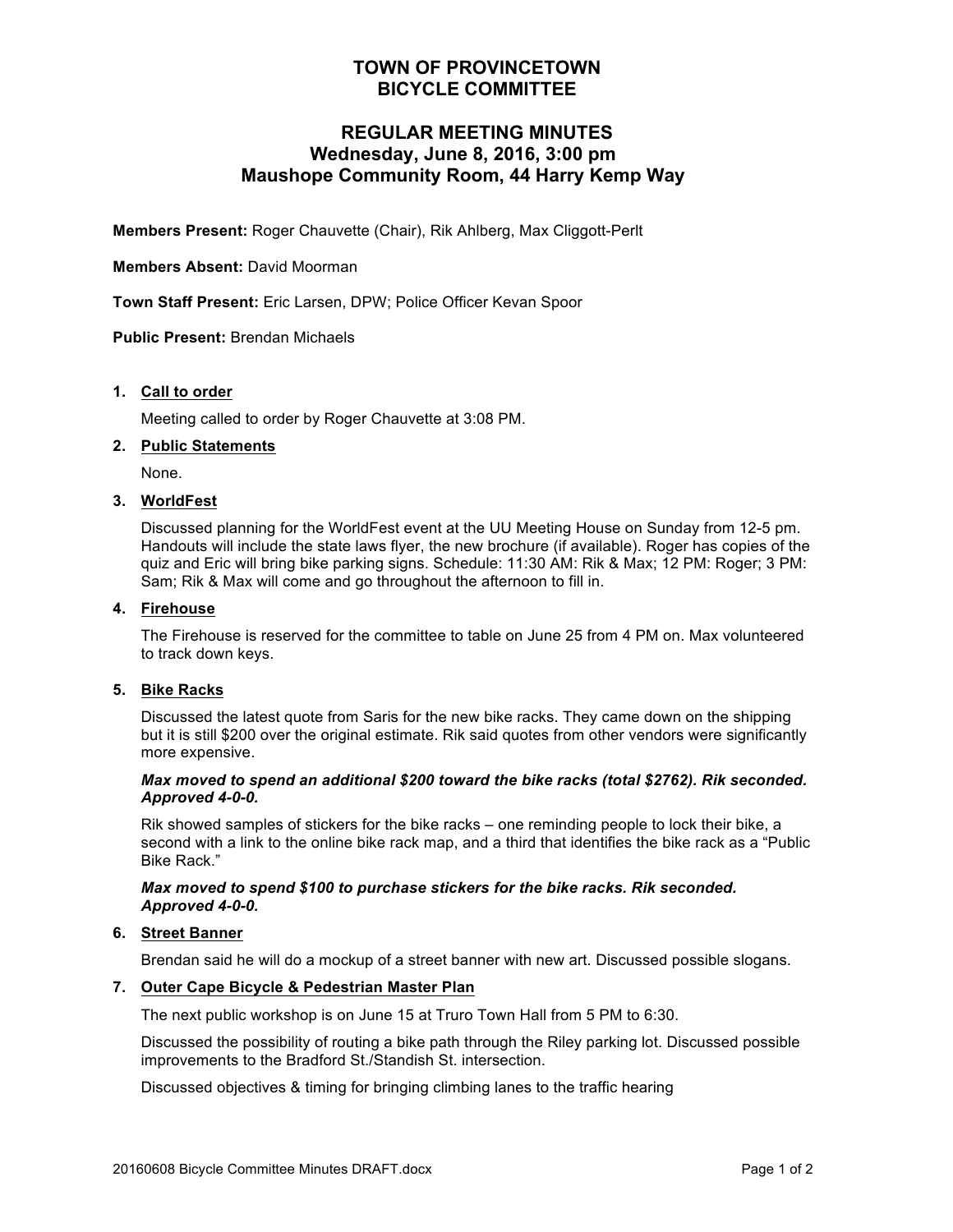# **TOWN OF PROVINCETOWN BICYCLE COMMITTEE**

# **REGULAR MEETING MINUTES Wednesday, June 8, 2016, 3:00 pm Maushope Community Room, 44 Harry Kemp Way**

**Members Present:** Roger Chauvette (Chair), Rik Ahlberg, Max Cliggott-Perlt

## **Members Absent:** David Moorman

**Town Staff Present:** Eric Larsen, DPW; Police Officer Kevan Spoor

**Public Present:** Brendan Michaels

## **1. Call to order**

Meeting called to order by Roger Chauvette at 3:08 PM.

#### **2. Public Statements**

None.

#### **3. WorldFest**

Discussed planning for the WorldFest event at the UU Meeting House on Sunday from 12-5 pm. Handouts will include the state laws flyer, the new brochure (if available). Roger has copies of the quiz and Eric will bring bike parking signs. Schedule: 11:30 AM: Rik & Max; 12 PM: Roger; 3 PM: Sam; Rik & Max will come and go throughout the afternoon to fill in.

#### **4. Firehouse**

The Firehouse is reserved for the committee to table on June 25 from 4 PM on. Max volunteered to track down keys.

## **5. Bike Racks**

Discussed the latest quote from Saris for the new bike racks. They came down on the shipping but it is still \$200 over the original estimate. Rik said quotes from other vendors were significantly more expensive.

#### *Max moved to spend an additional \$200 toward the bike racks (total \$2762). Rik seconded. Approved 4-0-0.*

Rik showed samples of stickers for the bike racks – one reminding people to lock their bike, a second with a link to the online bike rack map, and a third that identifies the bike rack as a "Public Bike Rack."

## *Max moved to spend \$100 to purchase stickers for the bike racks. Rik seconded. Approved 4-0-0.*

## **6. Street Banner**

Brendan said he will do a mockup of a street banner with new art. Discussed possible slogans.

## **7. Outer Cape Bicycle & Pedestrian Master Plan**

The next public workshop is on June 15 at Truro Town Hall from 5 PM to 6:30.

Discussed the possibility of routing a bike path through the Riley parking lot. Discussed possible improvements to the Bradford St./Standish St. intersection.

Discussed objectives & timing for bringing climbing lanes to the traffic hearing